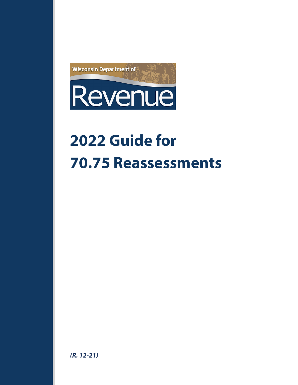

# **2022 Guide for 70.75 Reassessments**

*(R. 12-21)*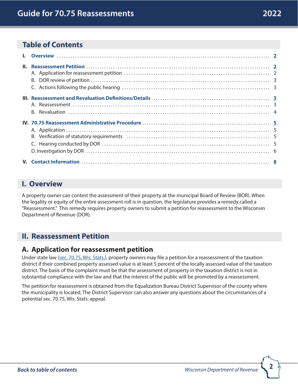## <span id="page-1-0"></span>**Table of Contents**

## <span id="page-1-1"></span>**I. Overview**

A property owner can contest the assessment of their property at the municipal Board of Review (BOR). When the legality or equity of the entire assessment roll is in question, the legislature provides a remedy called a "Reassessment." This remedy requires property owners to submit a petition for reassessment to the Wisconsin Department of Revenue (DOR).

## <span id="page-1-2"></span>**II. Reassessment Petition**

## **A. Application for reassessment petition**

Under state law ([sec. 70.75, Wis. Stats.](https://docs.legis.wisconsin.gov/statutes/statutes/70/75)), property owners may file a petition for a reassessment of the taxation district if their combined property assessed value is at least 5 percent of the locally assessed value of the taxation district. The basis of the complaint must be that the assessment of property in the taxation district is not in substantial compliance with the law and that the interest of the public will be promoted by a reassessment.

The petition for reassessment is obtained from the Equalization Bureau District Supervisor of the county where the municipality is located. The District Supervisor can also answer any questions about the circumstances of a potential sec. 70.75, Wis. Stats. appeal.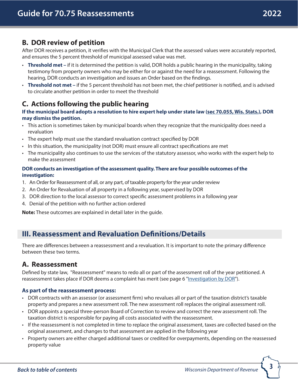## <span id="page-2-0"></span>**B. DOR review of petition**

After DOR receives a petition, it verifies with the Municipal Clerk that the assessed values were accurately reported, and ensures the 5 percent threshold of municipal assessed value was met.

- **Threshold met** if it is determined the petition is valid, DOR holds a public hearing in the municipality, taking testimony from property owners who may be either for or against the need for a reassessment. Following the hearing, DOR conducts an investigation and issues an Order based on the findings.
- **Threshold not met –** if the 5 percent threshold has not been met, the chief petitioner is notified, and is advised to circulate another petition in order to meet the threshold

## **C. Actions following the public hearing**

**If the municipal board adopts a resolution to hire expert help under state law [\(sec 70.055, Wis. Stats.](https://docs.legis.wisconsin.gov/statutes/statutes/70/055)), DOR may dismiss the petition.** 

- This action is sometimes taken by municipal boards when they recognize that the municipality does need a revaluation
- The expert help must use the standard revaluation contract specified by DOR
- In this situation, the municipality (not DOR) must ensure all contract specifications are met
- The municipality also continues to use the services of the statutory assessor, who works with the expert help to make the assessment

#### **DOR conducts an investigation of the assessment quality. There are four possible outcomes of the investigation:**

- 1. An Order for Reassessment of all, or any part, of taxable property for the year under review
- 2. An Order for Revaluation of all property in a following year, supervised by DOR
- 3. DOR direction to the local assessor to correct specific assessment problems in a following year
- 4. Denial of the petition with no further action ordered

**Note:** These outcomes are explained in detail later in the guide.

## <span id="page-2-1"></span>**III. Reassessment and Revaluation Definitions/Details**

There are differences between a reassessment and a revaluation. It is important to note the primary difference between these two terms.

## **A. Reassessment**

Defined by state law, "Reassessment" means to redo all or part of the assessment roll of the year petitioned. A reassessment takes place if DOR deems a complaint has merit (see page 6 ["Investigation by DOR"](#page-5-0)).

#### **As part of the reassessment process:**

- DOR contracts with an assessor (or assessment firm) who revalues all or part of the taxation district's taxable property and prepares a new assessment roll. The new assessment roll replaces the original assessment roll.
- DOR appoints a special three-person Board of Correction to review and correct the new assessment roll. The taxation district is responsible for paying all costs associated with the reassessment.
- If the reassessment is not completed in time to replace the original assessment, taxes are collected based on the original assessment, and changes to that assessment are applied in the following year
- Property owners are either charged additional taxes or credited for overpayments, depending on the reassessed property value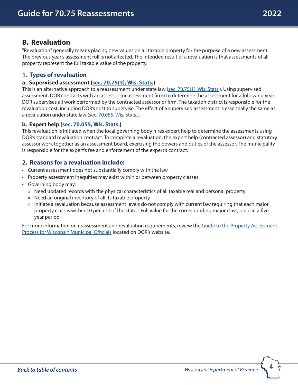## <span id="page-3-0"></span>**B. Revaluation**

"Revaluation" generally means placing new values on all taxable property for the purpose of a new assessment. The previous year's assessment roll is not affected. The intended result of a revaluation is that assessments of all property represent the full taxable value of the property.

## **1. Types of revaluation**

#### **a. Supervised assessment [\(sec. 70.75\(3\), Wis. Stats.](https://docs.legis.wisconsin.gov/statutes/statutes/70/75/3))**

This is an alternative approach to a reassessment under state law ([sec. 70.75\(1\), Wis. Stats.](https://docs.legis.wisconsin.gov/statutes/statutes/70/75/1)). Using supervised assessment, DOR contracts with an assessor (or assessment firm) to determine the assessment for a following year. DOR supervises all work performed by the contracted assessor or firm. The taxation district is responsible for the revaluation cost, including DOR's cost to supervise. The effect of a supervised assessment is essentially the same as a revaluation under state law [\(sec. 70.055, Wis. Stats.](https://docs.legis.wisconsin.gov/statutes/statutes/70/055)).

#### **b. Expert help [\(sec. 70.055, Wis. Stats.\)](https://docs.legis.wisconsin.gov/statutes/statutes/70/055)**

This revaluation is initiated when the local governing body hires expert help to determine the assessments using DOR's standard revaluation contract. To complete a revaluation, the expert help (contracted assessor) and statutory assessor work together as an assessment board, exercising the powers and duties of the assessor. The municipality is responsible for the expert's fee and enforcement of the expert's contract.

#### **2. Reasons for a revaluation include:**

- Current assessment does not substantially comply with the law
- Property assessment inequities may exist within or between property classes
- Governing body may:
	- » Need updated records with the physical characteristics of all taxable real and personal property
	- » Need an original inventory of all its taxable property
	- » Initiate a revaluation because assessment levels do not comply with current law requiring that each major property class is within 10 percent of the state's Full Value for the corresponding major class, once in a five year period

For more information on reassessment and revaluation requirements, review the Guide to the Property Assessment [Process for Wisconsin Municipal Officials](https://www.revenue.wi.gov/DOR%20Publications/pb062.pdf) located on DOR's website.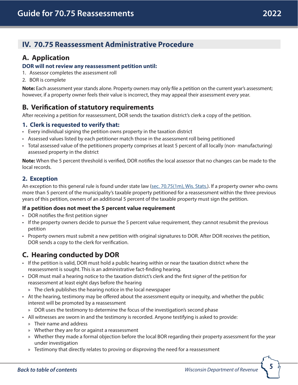# <span id="page-4-1"></span><span id="page-4-0"></span> **IV. 70.75 Reassessment Administrative Procedure**

# **A. Application**

#### **DOR will not review any reassessment petition until:**

- 1. Assessor completes the assessment roll
- 2. BOR is complete

**Note:** Each assessment year stands alone. Property owners may only file a petition on the current year's assessment; however, if a property owner feels their value is incorrect, they may appeal their assessment every year.

## **B. Verification of statutory requirements**

After receiving a petition for reassessment, DOR sends the taxation district's clerk a copy of the petition.

## **1. Clerk is requested to verify that:**

- Every individual signing the petition owns property in the taxation district
- Assessed values listed by each petitioner match those in the assessment roll being petitioned
- Total assessed value of the petitioners property comprises at least 5 percent of all locally (non- manufacturing) assessed property in the district

**Note:** When the 5 percent threshold is verified, DOR notifies the local assessor that no changes can be made to the local records.

## **2. Exception**

An exception to this general rule is found under state law [\(sec. 70.75\(1m\), Wis. Stats.\)](https://docs.legis.wisconsin.gov/statutes/statutes/70/75/1m). If a property owner who owns more than 5 percent of the municipality's taxable property petitioned for a reassessment within the three previous years of this petition, owners of an additional 5 percent of the taxable property must sign the petition.

#### **If a petition does not meet the 5 percent value requirement**

- DOR notifies the first petition signer
- If the property owners decide to pursue the 5 percent value requirement, they cannot resubmit the previous petition
- Property owners must submit a new petition with original signatures to DOR. After DOR receives the petition, DOR sends a copy to the clerk for verification.

# **C. Hearing conducted by DOR**

- If the petition is valid, DOR must hold a public hearing within or near the taxation district where the reassessment is sought. This is an administrative fact-finding hearing.
- DOR must mail a hearing notice to the taxation district's clerk and the first signer of the petition for reassessment at least eight days before the hearing
	- » The clerk publishes the hearing notice in the local newspaper
- At the hearing, testimony may be offered about the assessment equity or inequity, and whether the public interest will be promoted by a reassessment
	- » DOR uses the testimony to determine the focus of the investigation's second phase
- All witnesses are sworn in and the testimony is recorded. Anyone testifying is asked to provide:
	- » Their name and address
	- » Whether they are for or against a reassessment
	- » Whether they made a formal objection before the local BOR regarding their property assessment for the year under investigation
	- » Testimony that directly relates to proving or disproving the need for a reassessment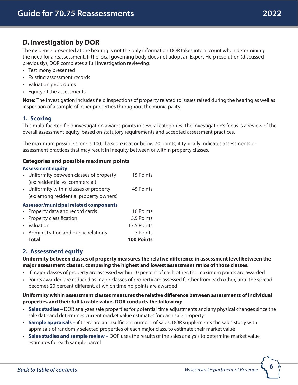## <span id="page-5-0"></span>**D. Investigation by DOR**

The evidence presented at the hearing is not the only information DOR takes into account when determining the need for a reassessment. If the local governing body does not adopt an Expert Help resolution (discussed previously), DOR completes a full investigation reviewing:

- Testimony presented
- Existing assessment records
- Valuation procedures
- Equity of the assessments

**Note:** The investigation includes field inspections of property related to issues raised during the hearing as well as inspection of a sample of other properties throughout the municipality.

## **1. Scoring**

This multi-faceted field investigation awards points in several categories. The investigation's focus is a review of the overall assessment equity, based on statutory requirements and accepted assessment practices.

The maximum possible score is 100. If a score is at or below 70 points, it typically indicates assessments or assessment practices that may result in inequity between or within property classes.

#### **Categories and possible maximum points**

#### **Assessment equity**

|                                              | • Uniformity between classes of property | 15 Points  |  |  |
|----------------------------------------------|------------------------------------------|------------|--|--|
|                                              | (ex: residential vs. commercial)         |            |  |  |
|                                              | • Uniformity within classes of property  | 45 Points  |  |  |
|                                              | (ex: among residential property owners)  |            |  |  |
| <b>Assessor/municipal related components</b> |                                          |            |  |  |
|                                              | • Property data and record cards         | 10 Points  |  |  |
|                                              | • Property classification                | 5.5 Points |  |  |

| • Valuation                           | 17.5 Points |
|---------------------------------------|-------------|
| • Administration and public relations | 7 Points    |

**Total 100 Points**

#### **2. Assessment equity**

**Uniformity between classes of property measures the relative difference in assessment level between the major assessment classes, comparing the highest and lowest assessment ratios of those classes.** 

- If major classes of property are assessed within 10 percent of each other, the maximum points are awarded
- Points awarded are reduced as major classes of property are assessed further from each other, until the spread becomes 20 percent different, at which time no points are awarded

#### **Uniformity within assessment classes measures the relative difference between assessments of individual properties and their full taxable value. DOR conducts the following:**

- **Sales studies –** DOR analyzes sale properties for potential time adjustments and any physical changes since the sale date and determines current market value estimates for each sale property
- **Sample appraisals –** if there are an insufficient number of sales, DOR supplements the sales study with appraisals of randomly selected properties of each major class, to estimate their market value
- **Sales studies and sample review** DOR uses the results of the sales analysis to determine market value estimates for each sample parcel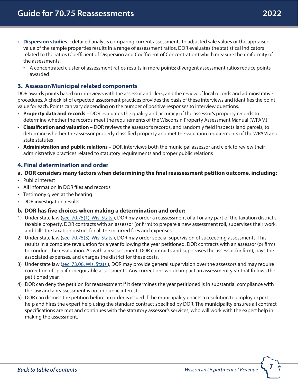- **Dispersion studies –** detailed analysis comparing current assessments to adjusted sale values or the appraised value of the sample properties results in a range of assessment ratios. DOR evaluates the statistical indicators related to the ratios (Coefficient of Dispersion and Coefficient of Concentration) which measure the uniformity of the assessments.
	- » A concentrated cluster of assessment ratios results in more points; divergent assessment ratios reduce points awarded

## **3. Assessor/Municipal related components**

DOR awards points based on interviews with the assessor and clerk, and the review of local records and administrative procedures. A checklist of expected assessment practices provides the basis of these interviews and identifies the point value for each. Points can vary depending on the number of positive responses to interview questions.

- **Property data and records –** DOR evaluates the quality and accuracy of the assessor's property records to determine whether the records meet the requirements of the Wisconsin Property Assessment Manual (WPAM)
- **Classification and valuation –** DOR reviews the assessor's records, and randomly field inspects land parcels, to determine whether the assessor properly classified property and met the valuation requirements of the WPAM and state statutes
- **Administration and public relations –** DOR interviews both the municipal assessor and clerk to review their administrative practices related to statutory requirements and proper public relations

#### **4. Final determination and order**

#### **a. DOR considers many factors when determining the final reassessment petition outcome, including:**

- Public interest
- All information in DOR files and records
- Testimony given at the hearing
- DOR investigation results

#### **b. DOR has five choices when making a determination and order:**

- 1) Under state law ([sec. 70.75\(1\), Wis. Stats.](https://docs.legis.wisconsin.gov/statutes/statutes/70/75/1)), DOR may order a reassessment of all or any part of the taxation district's taxable property. DOR contracts with an assessor (or firm) to prepare a new assessment roll, supervises their work, and bills the taxation district for all the incurred fees and expenses.
- 2) Under state law ([sec. 70.75\(3\), Wis. Stats.](https://docs.legis.wisconsin.gov/statutes/statutes/70/75/3)), DOR may order special supervision of succeeding assessments. This results in a complete revaluation for a year following the year petitioned. DOR contracts with an assessor (or firm) to conduct the revaluation. As with a reassessment, DOR contracts and supervises the assessor (or firm), pays the associated expenses, and charges the district for these costs.
- 3) Under state law ([sec. 73.06, Wis. Stats.](https://docs.legis.wisconsin.gov/statutes/statutes/73/06)), DOR may provide general supervision over the assessors and may require correction of specific inequitable assessments. Any corrections would impact an assessment year that follows the petitioned year.
- 4) DOR can deny the petition for reassessment if it determines the year petitioned is in substantial compliance with the law and a reassessment is not in public interest
- 5) DOR can dismiss the petition before an order is issued if the municipality enacts a resolution to employ expert help and hires the expert help using the standard contract specified by DOR. The municipality ensures all contract specifications are met and continues with the statutory assessor's services, who will work with the expert help in making the assessment.